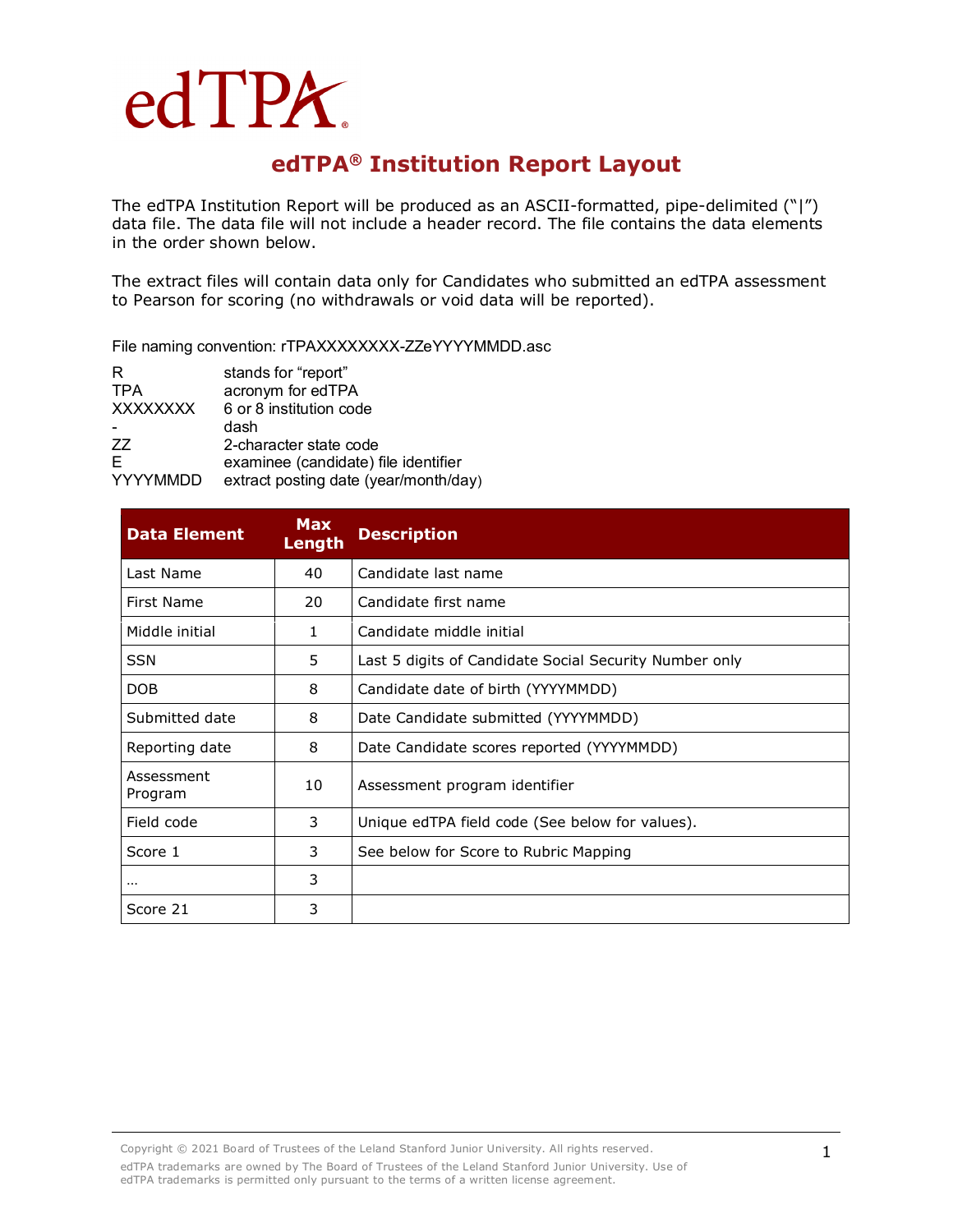# edTPA.

## **edTPA® Institution Report Layout**

The edTPA Institution Report will be produced as an ASCII-formatted, pipe-delimited ("|") data file. The data file will not include a header record. The file contains the data elements in the order shown below.

The extract files will contain data only for Candidates who submitted an edTPA assessment to Pearson for scoring (no withdrawals or void data will be reported).

File naming convention: rTPAXXXXXXXX-ZZeYYYYMMDD.asc

| R                    | stands for "report"                                                           |
|----------------------|-------------------------------------------------------------------------------|
| <b>TPA</b>           | acronym for edTPA                                                             |
| <b>XXXXXXXX</b>      | 6 or 8 institution code                                                       |
|                      | dash                                                                          |
| 77                   | 2-character state code                                                        |
| E<br><b>YYYYMMDD</b> | examinee (candidate) file identifier<br>extract posting date (year/month/day) |
|                      |                                                                               |

| <b>Data Element</b>   | <b>Max</b><br>Length | <b>Description</b>                                     |
|-----------------------|----------------------|--------------------------------------------------------|
| Last Name             | 40                   | Candidate last name                                    |
| First Name            | 20                   | Candidate first name                                   |
| Middle initial        | 1                    | Candidate middle initial                               |
| <b>SSN</b>            | 5.                   | Last 5 digits of Candidate Social Security Number only |
| <b>DOB</b>            | 8                    | Candidate date of birth (YYYYMMDD)                     |
| Submitted date        | 8                    | Date Candidate submitted (YYYYMMDD)                    |
| Reporting date        | 8                    | Date Candidate scores reported (YYYYMMDD)              |
| Assessment<br>Program | 10                   | Assessment program identifier                          |
| Field code            | 3                    | Unique edTPA field code (See below for values).        |
| Score 1               | 3                    | See below for Score to Rubric Mapping                  |
| $\cdots$              | 3                    |                                                        |
| Score 21              | 3                    |                                                        |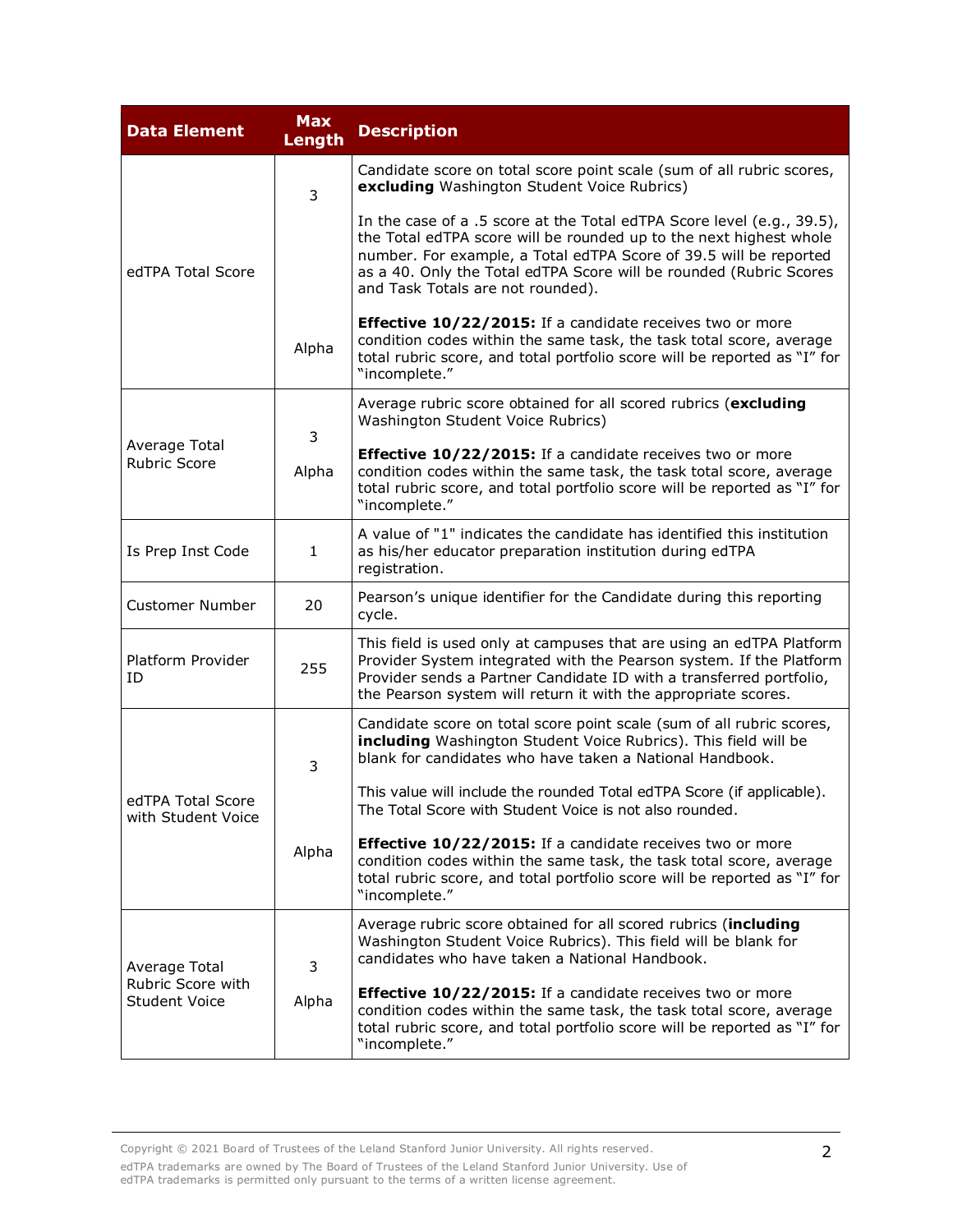| <b>Data Element</b>                                        | <b>Max</b><br>Length | <b>Description</b>                                                                                                                                                                                                                                                                                                           |
|------------------------------------------------------------|----------------------|------------------------------------------------------------------------------------------------------------------------------------------------------------------------------------------------------------------------------------------------------------------------------------------------------------------------------|
|                                                            | 3                    | Candidate score on total score point scale (sum of all rubric scores,<br>excluding Washington Student Voice Rubrics)                                                                                                                                                                                                         |
| edTPA Total Score                                          |                      | In the case of a .5 score at the Total edTPA Score level (e.g., 39.5),<br>the Total edTPA score will be rounded up to the next highest whole<br>number. For example, a Total edTPA Score of 39.5 will be reported<br>as a 40. Only the Total edTPA Score will be rounded (Rubric Scores<br>and Task Totals are not rounded). |
|                                                            | Alpha                | Effective 10/22/2015: If a candidate receives two or more<br>condition codes within the same task, the task total score, average<br>total rubric score, and total portfolio score will be reported as "I" for<br>"incomplete."                                                                                               |
|                                                            | 3                    | Average rubric score obtained for all scored rubrics (excluding<br>Washington Student Voice Rubrics)                                                                                                                                                                                                                         |
| Average Total<br><b>Rubric Score</b>                       | Alpha                | Effective 10/22/2015: If a candidate receives two or more<br>condition codes within the same task, the task total score, average<br>total rubric score, and total portfolio score will be reported as "I" for<br>"incomplete."                                                                                               |
| Is Prep Inst Code                                          | $\mathbf{1}$         | A value of "1" indicates the candidate has identified this institution<br>as his/her educator preparation institution during edTPA<br>registration.                                                                                                                                                                          |
| <b>Customer Number</b>                                     | 20                   | Pearson's unique identifier for the Candidate during this reporting<br>cycle.                                                                                                                                                                                                                                                |
| Platform Provider<br>ID                                    | 255                  | This field is used only at campuses that are using an edTPA Platform<br>Provider System integrated with the Pearson system. If the Platform<br>Provider sends a Partner Candidate ID with a transferred portfolio,<br>the Pearson system will return it with the appropriate scores.                                         |
|                                                            | 3<br>Alpha           | Candidate score on total score point scale (sum of all rubric scores,<br>including Washington Student Voice Rubrics). This field will be<br>blank for candidates who have taken a National Handbook.                                                                                                                         |
| edTPA Total Score<br>with Student Voice                    |                      | This value will include the rounded Total edTPA Score (if applicable).<br>The Total Score with Student Voice is not also rounded.                                                                                                                                                                                            |
|                                                            |                      | Effective 10/22/2015: If a candidate receives two or more<br>condition codes within the same task, the task total score, average<br>total rubric score, and total portfolio score will be reported as "I" for<br>"incomplete."                                                                                               |
| Average Total<br>Rubric Score with<br><b>Student Voice</b> | 3<br>Alpha           | Average rubric score obtained for all scored rubrics (including<br>Washington Student Voice Rubrics). This field will be blank for<br>candidates who have taken a National Handbook.                                                                                                                                         |
|                                                            |                      | Effective 10/22/2015: If a candidate receives two or more<br>condition codes within the same task, the task total score, average<br>total rubric score, and total portfolio score will be reported as "I" for<br>"incomplete."                                                                                               |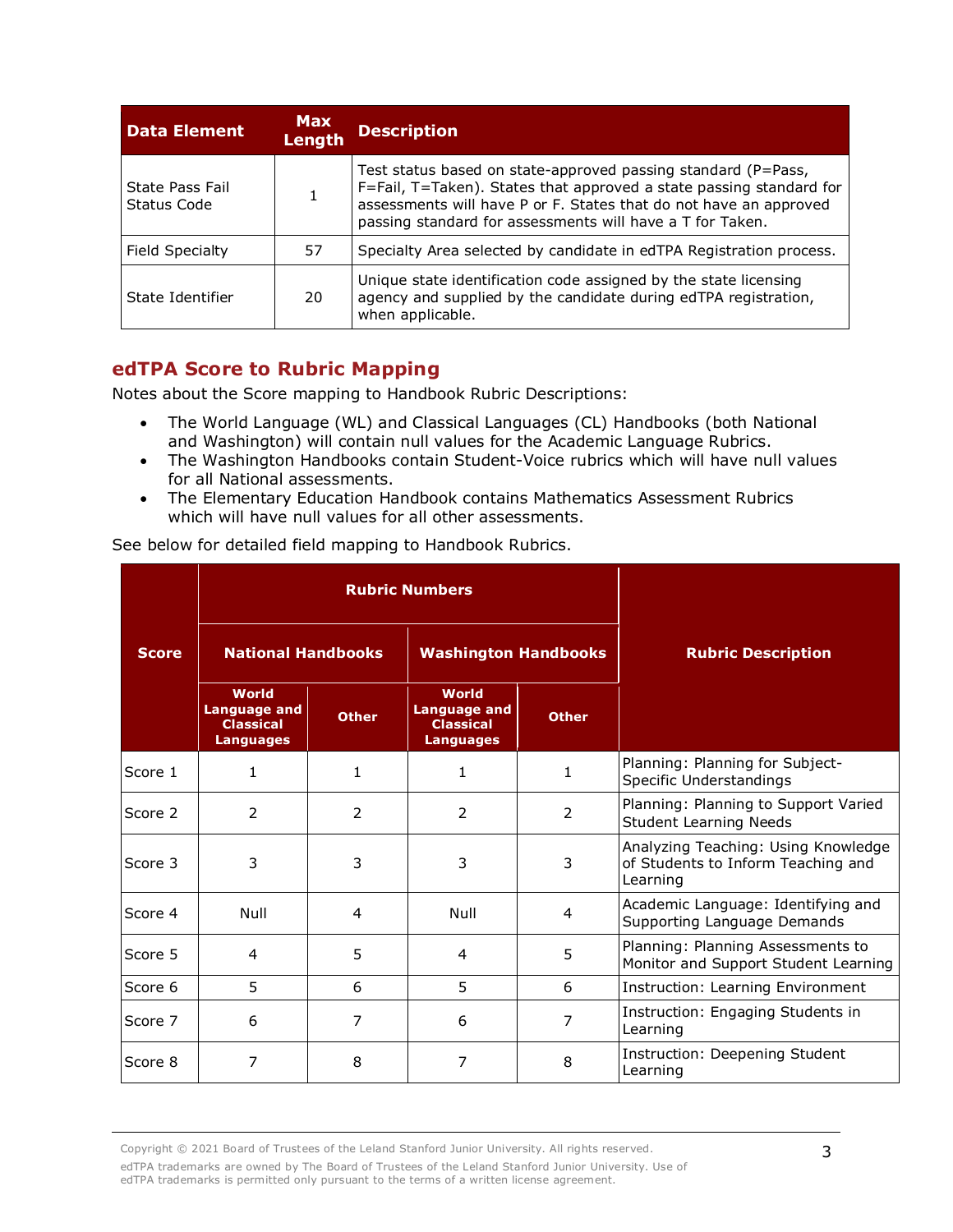| <b>Data Element</b>            | <b>Max</b><br>Length | <b>Description</b>                                                                                                                                                                                                                                                     |
|--------------------------------|----------------------|------------------------------------------------------------------------------------------------------------------------------------------------------------------------------------------------------------------------------------------------------------------------|
| State Pass Fail<br>Status Code |                      | Test status based on state-approved passing standard (P=Pass,<br>F=Fail, T=Taken). States that approved a state passing standard for<br>assessments will have P or F. States that do not have an approved<br>passing standard for assessments will have a T for Taken. |
| Field Specialty                | 57                   | Specialty Area selected by candidate in edTPA Registration process.                                                                                                                                                                                                    |
| State Identifier               | 20                   | Unique state identification code assigned by the state licensing<br>agency and supplied by the candidate during edTPA registration,<br>when applicable.                                                                                                                |

#### **edTPA Score to Rubric Mapping**

Notes about the Score mapping to Handbook Rubric Descriptions:

- The World Language (WL) and Classical Languages (CL) Handbooks (both National and Washington) will contain null values for the Academic Language Rubrics.
- The Washington Handbooks contain Student-Voice rubrics which will have null values for all National assessments.
- The Elementary Education Handbook contains Mathematics Assessment Rubrics which will have null values for all other assessments.

|  |  |  | See below for detailed field mapping to Handbook Rubrics. |  |
|--|--|--|-----------------------------------------------------------|--|
|  |  |  |                                                           |  |

|              |                                                                      | <b>Rubric Numbers</b> |                                                                      |              |                                                                                       |
|--------------|----------------------------------------------------------------------|-----------------------|----------------------------------------------------------------------|--------------|---------------------------------------------------------------------------------------|
| <b>Score</b> | <b>National Handbooks</b>                                            |                       | <b>Washington Handbooks</b>                                          |              | <b>Rubric Description</b>                                                             |
|              | World<br><b>Language and</b><br><b>Classical</b><br><b>Languages</b> | <b>Other</b>          | World<br><b>Language and</b><br><b>Classical</b><br><b>Languages</b> | <b>Other</b> |                                                                                       |
| Score 1      | 1                                                                    | 1                     | 1                                                                    | 1            | Planning: Planning for Subject-<br><b>Specific Understandings</b>                     |
| Score 2      | 2                                                                    | 2                     | $\overline{2}$                                                       | 2            | Planning: Planning to Support Varied<br><b>Student Learning Needs</b>                 |
| Score 3      | 3                                                                    | 3                     | 3                                                                    | 3            | Analyzing Teaching: Using Knowledge<br>of Students to Inform Teaching and<br>Learning |
| Score 4      | Null                                                                 | 4                     | Null                                                                 | 4            | Academic Language: Identifying and<br>Supporting Language Demands                     |
| Score 5      | 4                                                                    | 5                     | 4                                                                    | 5            | Planning: Planning Assessments to<br>Monitor and Support Student Learning             |
| Score 6      | 5.                                                                   | 6                     | 5                                                                    | 6            | Instruction: Learning Environment                                                     |
| Score 7      | 6                                                                    | 7                     | 6                                                                    | 7            | Instruction: Engaging Students in<br>Learning                                         |
| Score 8      | 7                                                                    | 8                     | 7                                                                    | 8            | Instruction: Deepening Student<br>Learning                                            |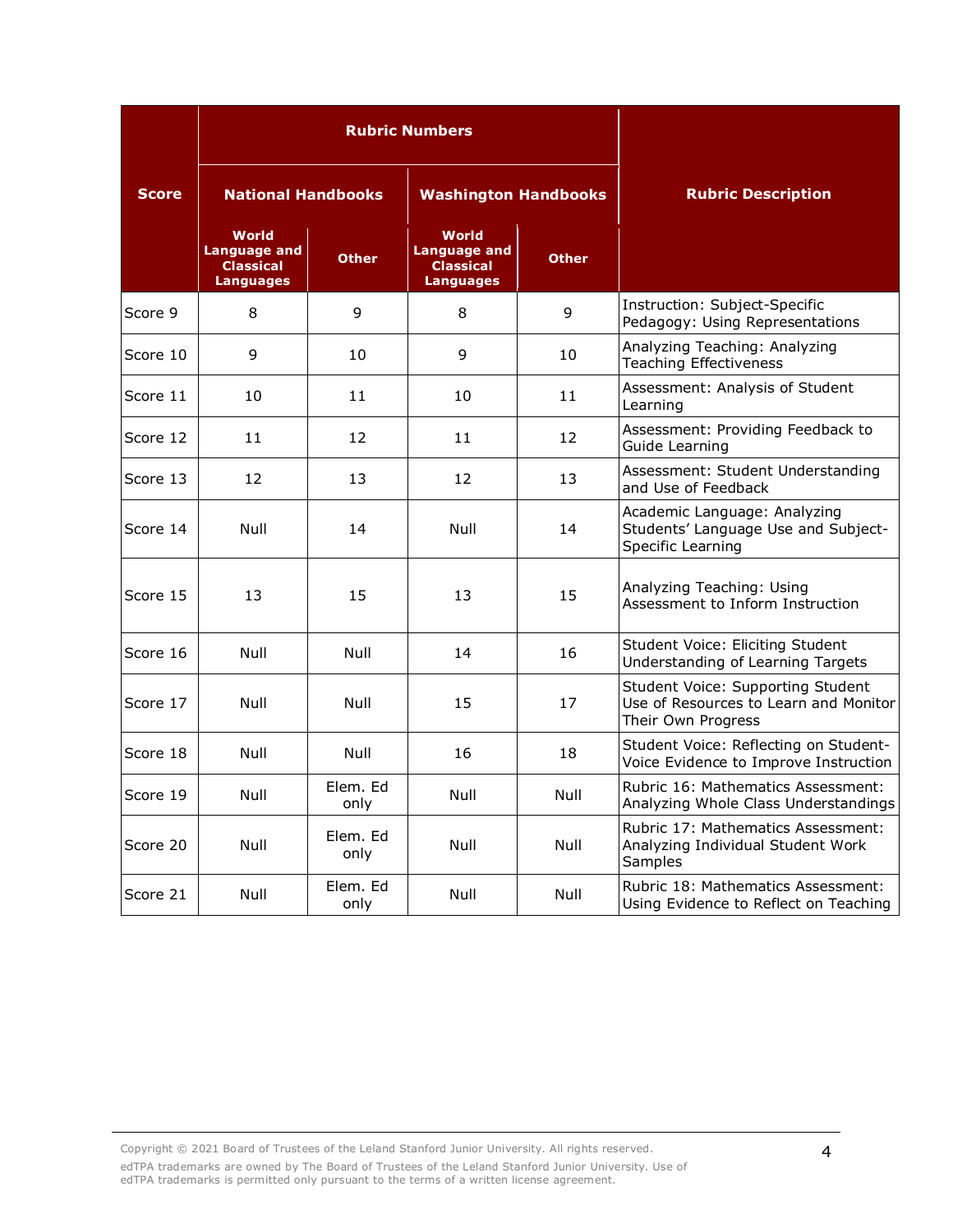|                                           |                                                                      |                  | <b>Rubric Numbers</b>                                                |              |                                                                                                  |
|-------------------------------------------|----------------------------------------------------------------------|------------------|----------------------------------------------------------------------|--------------|--------------------------------------------------------------------------------------------------|
| <b>Score</b><br><b>National Handbooks</b> |                                                                      |                  | <b>Washington Handbooks</b>                                          |              | <b>Rubric Description</b>                                                                        |
|                                           | World<br><b>Language and</b><br><b>Classical</b><br><b>Languages</b> | <b>Other</b>     | World<br><b>Language and</b><br><b>Classical</b><br><b>Languages</b> | <b>Other</b> |                                                                                                  |
| Score 9                                   | 8                                                                    | 9                | 8                                                                    | 9            | Instruction: Subject-Specific<br>Pedagogy: Using Representations                                 |
| Score 10                                  | 9                                                                    | 10               | 9                                                                    | 10           | Analyzing Teaching: Analyzing<br><b>Teaching Effectiveness</b>                                   |
| Score 11                                  | 10                                                                   | 11               | 10                                                                   | 11           | Assessment: Analysis of Student<br>Learning                                                      |
| Score 12                                  | 11                                                                   | 12               | 11                                                                   | 12           | Assessment: Providing Feedback to<br>Guide Learning                                              |
| Score 13                                  | 12                                                                   | 13               | 12                                                                   | 13           | Assessment: Student Understanding<br>and Use of Feedback                                         |
| Score 14                                  | Null                                                                 | 14               | Null                                                                 | 14           | Academic Language: Analyzing<br>Students' Language Use and Subject-<br>Specific Learning         |
| Score 15                                  | 13                                                                   | 15               | 13                                                                   | 15           | Analyzing Teaching: Using<br>Assessment to Inform Instruction                                    |
| Score 16                                  | Null                                                                 | Null             | 14                                                                   | 16           | Student Voice: Eliciting Student<br>Understanding of Learning Targets                            |
| Score 17                                  | Null                                                                 | Null             | 15                                                                   | 17           | Student Voice: Supporting Student<br>Use of Resources to Learn and Monitor<br>Their Own Progress |
| Score 18                                  | Null                                                                 | Null             | 16                                                                   | 18           | Student Voice: Reflecting on Student-<br>Voice Evidence to Improve Instruction                   |
| Score 19                                  | Null                                                                 | Elem. Ed<br>only | Null                                                                 | Null         | Rubric 16: Mathematics Assessment:<br>Analyzing Whole Class Understandings                       |
| Score 20                                  | Null                                                                 | Elem. Ed<br>only | Null                                                                 | Null         | Rubric 17: Mathematics Assessment:<br>Analyzing Individual Student Work<br>Samples               |
| Score 21                                  | Null                                                                 | Elem. Ed<br>only | Null                                                                 | Null         | Rubric 18: Mathematics Assessment:<br>Using Evidence to Reflect on Teaching                      |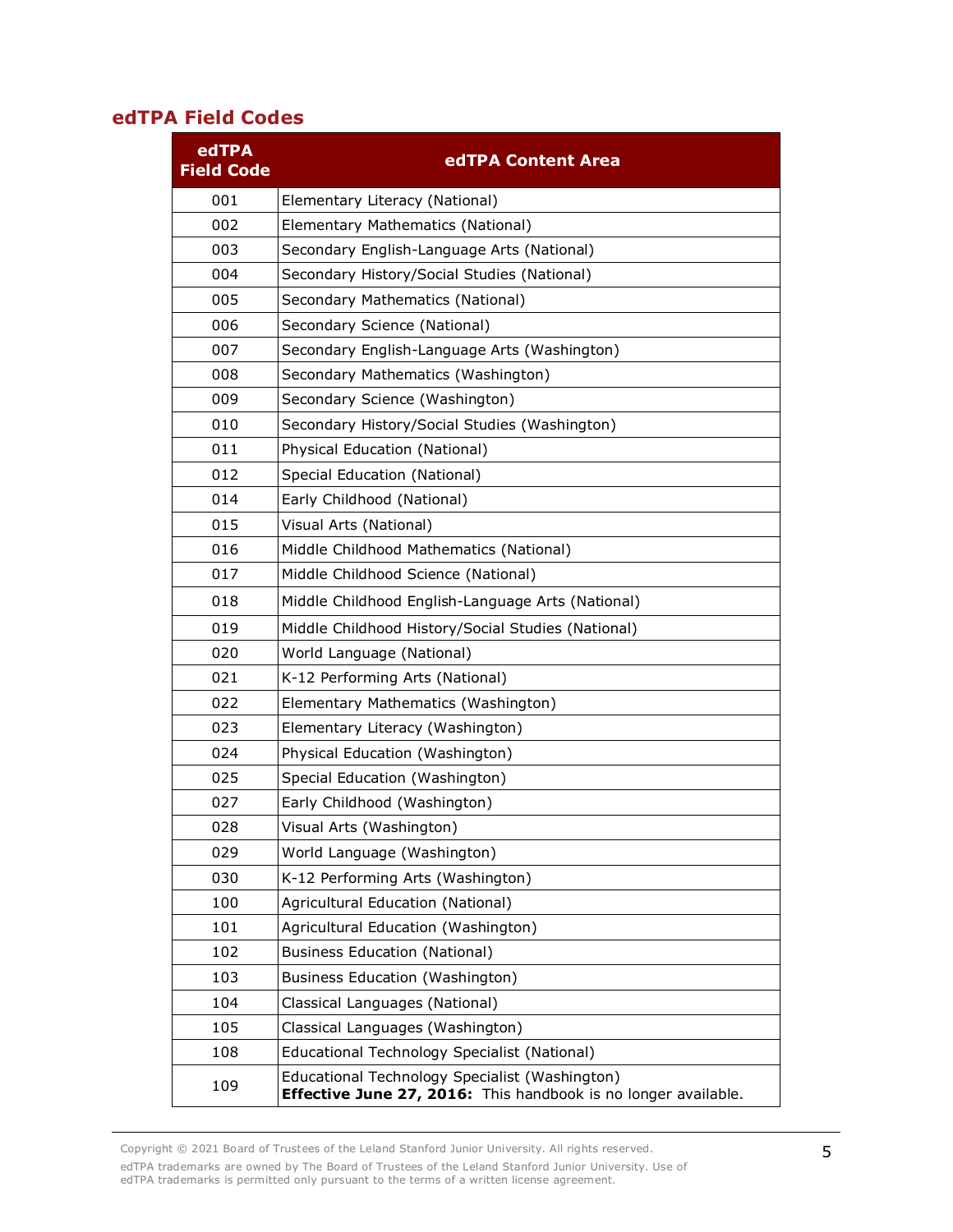#### **edTPA Field Codes**

| edTPA<br><b>Field Code</b> | edTPA Content Area                                                                                               |
|----------------------------|------------------------------------------------------------------------------------------------------------------|
| 001                        | Elementary Literacy (National)                                                                                   |
| 002                        | Elementary Mathematics (National)                                                                                |
| 003                        | Secondary English-Language Arts (National)                                                                       |
| 004                        | Secondary History/Social Studies (National)                                                                      |
| 005                        | Secondary Mathematics (National)                                                                                 |
| 006                        | Secondary Science (National)                                                                                     |
| 007                        | Secondary English-Language Arts (Washington)                                                                     |
| 008                        | Secondary Mathematics (Washington)                                                                               |
| 009                        | Secondary Science (Washington)                                                                                   |
| 010                        | Secondary History/Social Studies (Washington)                                                                    |
| 011                        | Physical Education (National)                                                                                    |
| 012                        | Special Education (National)                                                                                     |
| 014                        | Early Childhood (National)                                                                                       |
| 015                        | Visual Arts (National)                                                                                           |
| 016                        | Middle Childhood Mathematics (National)                                                                          |
| 017                        | Middle Childhood Science (National)                                                                              |
| 018                        | Middle Childhood English-Language Arts (National)                                                                |
| 019                        | Middle Childhood History/Social Studies (National)                                                               |
| 020                        | World Language (National)                                                                                        |
| 021                        | K-12 Performing Arts (National)                                                                                  |
| 022                        | Elementary Mathematics (Washington)                                                                              |
| 023                        | Elementary Literacy (Washington)                                                                                 |
| 024                        | Physical Education (Washington)                                                                                  |
| 025                        | Special Education (Washington)                                                                                   |
| 027                        | Early Childhood (Washington)                                                                                     |
| 028                        | Visual Arts (Washington)                                                                                         |
| 029                        | World Language (Washington)                                                                                      |
| 030                        | K-12 Performing Arts (Washington)                                                                                |
| 100                        | Agricultural Education (National)                                                                                |
| 101                        | Agricultural Education (Washington)                                                                              |
| 102                        | <b>Business Education (National)</b>                                                                             |
| 103                        | Business Education (Washington)                                                                                  |
| 104                        | Classical Languages (National)                                                                                   |
| 105                        | Classical Languages (Washington)                                                                                 |
| 108                        | Educational Technology Specialist (National)                                                                     |
| 109                        | Educational Technology Specialist (Washington)<br>Effective June 27, 2016: This handbook is no longer available. |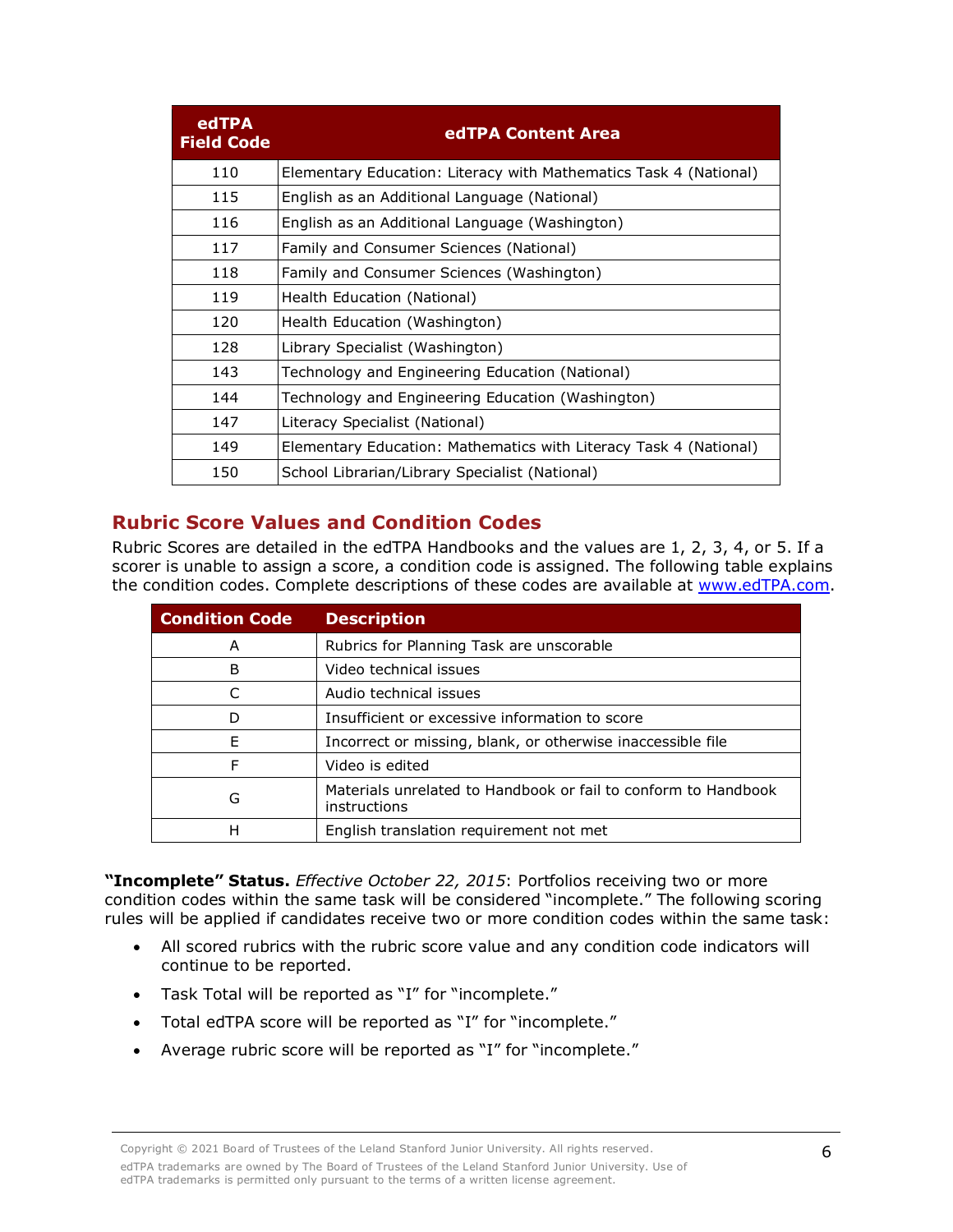| edTPA<br><b>Field Code</b> | edTPA Content Area                                                |
|----------------------------|-------------------------------------------------------------------|
| 110                        | Elementary Education: Literacy with Mathematics Task 4 (National) |
| 115                        | English as an Additional Language (National)                      |
| 116                        | English as an Additional Language (Washington)                    |
| 117                        | Family and Consumer Sciences (National)                           |
| 118                        | Family and Consumer Sciences (Washington)                         |
| 119                        | Health Education (National)                                       |
| 120                        | Health Education (Washington)                                     |
| 128                        | Library Specialist (Washington)                                   |
| 143                        | Technology and Engineering Education (National)                   |
| 144                        | Technology and Engineering Education (Washington)                 |
| 147                        | Literacy Specialist (National)                                    |
| 149                        | Elementary Education: Mathematics with Literacy Task 4 (National) |
| 150                        | School Librarian/Library Specialist (National)                    |

### **Rubric Score Values and Condition Codes**

Rubric Scores are detailed in the edTPA Handbooks and the values are 1, 2, 3, 4, or 5. If a scorer is unable to assign a score, a condition code is assigned. The following table explains the condition codes. Complete descriptions of these codes are available at [www.edTPA.com.](http://www.edtpa.com/)

| <b>Condition Code</b> | <b>Description</b>                                                             |
|-----------------------|--------------------------------------------------------------------------------|
| А                     | Rubrics for Planning Task are unscorable                                       |
| B                     | Video technical issues                                                         |
|                       | Audio technical issues                                                         |
| D                     | Insufficient or excessive information to score                                 |
| F                     | Incorrect or missing, blank, or otherwise inaccessible file                    |
| F                     | Video is edited                                                                |
| G                     | Materials unrelated to Handbook or fail to conform to Handbook<br>instructions |
| н                     | English translation requirement not met                                        |

**"Incomplete" Status.** *Effective October 22, 2015*: Portfolios receiving two or more condition codes within the same task will be considered "incomplete." The following scoring rules will be applied if candidates receive two or more condition codes within the same task:

- All scored rubrics with the rubric score value and any condition code indicators will continue to be reported.
- Task Total will be reported as "I" for "incomplete."
- Total edTPA score will be reported as "I" for "incomplete."
- Average rubric score will be reported as "I" for "incomplete."